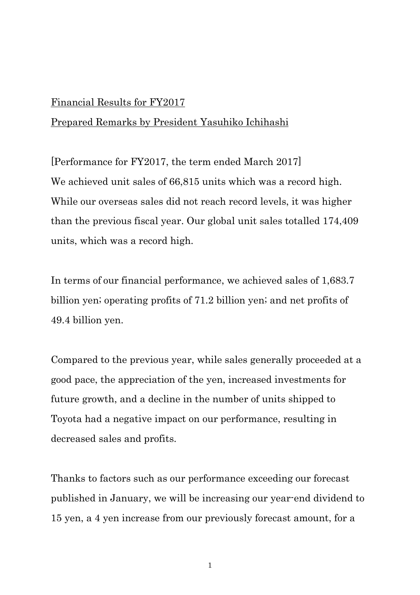## Financial Results for FY2017

## Prepared Remarks by President Yasuhiko Ichihashi

[Performance for FY2017, the term ended March 2017] We achieved unit sales of  $66,815$  units which was a record high. While our overseas sales did not reach record levels, it was higher than the previous fiscal year. Our global unit sales totalled 174,409 units, which was a record high.

In terms of our financial performance, we achieved sales of 1,683.7 billion yen; operating profits of 71.2 billion yen; and net profits of 49.4 billion yen.

Compared to the previous year, while sales generally proceeded at a good pace, the appreciation of the yen, increased investments for future growth, and a decline in the number of units shipped to Toyota had a negative impact on our performance, resulting in decreased sales and profits.

Thanks to factors such as our performance exceeding our forecast published in January, we will be increasing our year-end dividend to 15 yen, a 4 yen increase from our previously forecast amount, for a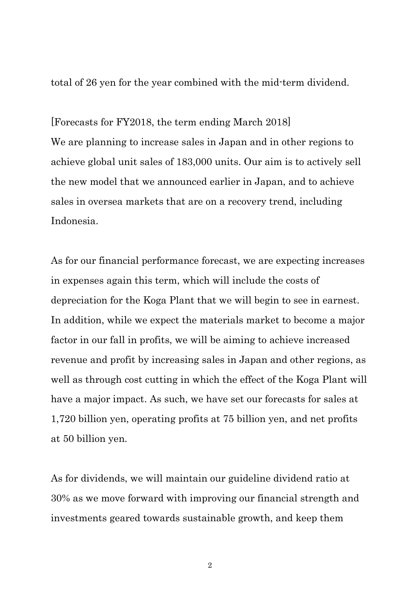total of 26 yen for the year combined with the mid-term dividend.

[Forecasts for FY2018, the term ending March 2018] We are planning to increase sales in Japan and in other regions to achieve global unit sales of 183,000 units. Our aim is to actively sell the new model that we announced earlier in Japan, and to achieve sales in oversea markets that are on a recovery trend, including Indonesia.

As for our financial performance forecast, we are expecting increases in expenses again this term, which will include the costs of depreciation for the Koga Plant that we will begin to see in earnest. In addition, while we expect the materials market to become a major factor in our fall in profits, we will be aiming to achieve increased revenue and profit by increasing sales in Japan and other regions, as well as through cost cutting in which the effect of the Koga Plant will have a major impact. As such, we have set our forecasts for sales at 1,720 billion yen, operating profits at 75 billion yen, and net profits at 50 billion yen.

As for dividends, we will maintain our guideline dividend ratio at 30% as we move forward with improving our financial strength and investments geared towards sustainable growth, and keep them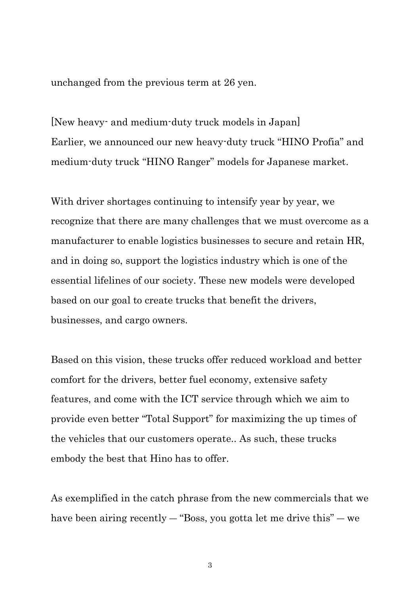unchanged from the previous term at 26 yen.

[New heavy- and medium-duty truck models in Japan] Earlier, we announced our new heavy-duty truck "HINO Profia" and medium-duty truck "HINO Ranger" models for Japanese market.

With driver shortages continuing to intensify year by year, we recognize that there are many challenges that we must overcome as a manufacturer to enable logistics businesses to secure and retain HR, and in doing so, support the logistics industry which is one of the essential lifelines of our society. These new models were developed based on our goal to create trucks that benefit the drivers, businesses, and cargo owners.

Based on this vision, these trucks offer reduced workload and better comfort for the drivers, better fuel economy, extensive safety features, and come with the ICT service through which we aim to provide even better "Total Support" for maximizing the up times of the vehicles that our customers operate.. As such, these trucks embody the best that Hino has to offer.

As exemplified in the catch phrase from the new commercials that we have been airing recently — "Boss, you gotta let me drive this" — we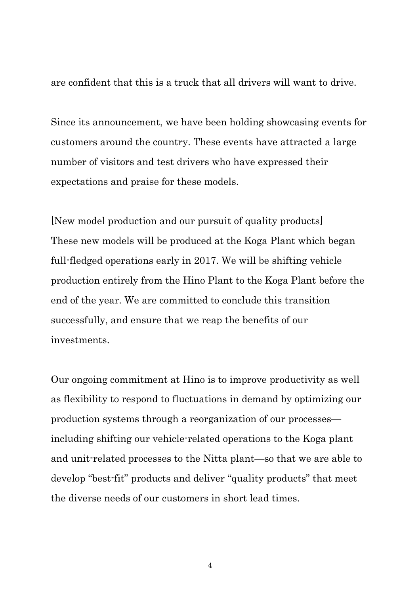are confident that this is a truck that all drivers will want to drive.

Since its announcement, we have been holding showcasing events for customers around the country. These events have attracted a large number of visitors and test drivers who have expressed their expectations and praise for these models.

[New model production and our pursuit of quality products] These new models will be produced at the Koga Plant which began full-fledged operations early in 2017. We will be shifting vehicle production entirely from the Hino Plant to the Koga Plant before the end of the year. We are committed to conclude this transition successfully, and ensure that we reap the benefits of our investments.

Our ongoing commitment at Hino is to improve productivity as well as flexibility to respond to fluctuations in demand by optimizing our production systems through a reorganization of our processes including shifting our vehicle-related operations to the Koga plant and unit-related processes to the Nitta plant—so that we are able to develop "best-fit" products and deliver "quality products" that meet the diverse needs of our customers in short lead times.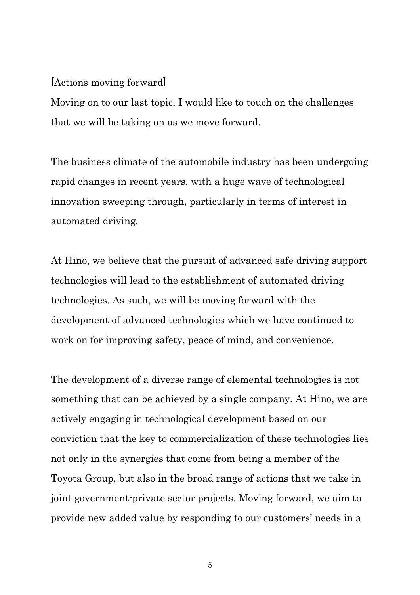## [Actions moving forward]

Moving on to our last topic, I would like to touch on the challenges that we will be taking on as we move forward.

The business climate of the automobile industry has been undergoing rapid changes in recent years, with a huge wave of technological innovation sweeping through, particularly in terms of interest in automated driving.

At Hino, we believe that the pursuit of advanced safe driving support technologies will lead to the establishment of automated driving technologies. As such, we will be moving forward with the development of advanced technologies which we have continued to work on for improving safety, peace of mind, and convenience.

The development of a diverse range of elemental technologies is not something that can be achieved by a single company. At Hino, we are actively engaging in technological development based on our conviction that the key to commercialization of these technologies lies not only in the synergies that come from being a member of the Toyota Group, but also in the broad range of actions that we take in joint government-private sector projects. Moving forward, we aim to provide new added value by responding to our customers' needs in a